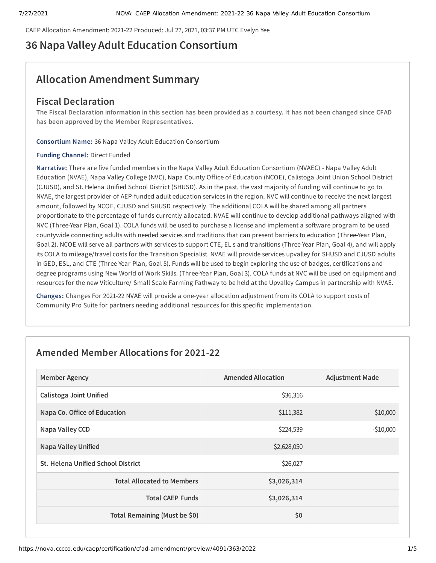CAEP Allocation Amendment: 2021-22 Produced: Jul 27, 2021, 03:37 PM UTC Evelyn Yee

# **36 Napa Valley Adult Education Consortium**

# **Allocation Amendment Summary**

## **Fiscal Declaration**

The Fiscal Declaration information in this section has been provided as a courtesy. It has not been changed since CFAD **has been approved by the Member Representatives.**

**Consortium Name:** 36 Napa Valley Adult Education Consortium

### **Funding Channel:** Direct Funded

**Narrative:** There are five funded members in the Napa Valley Adult Education Consortium (NVAEC) - Napa Valley Adult Education (NVAE), Napa Valley College (NVC), Napa County Office of Education (NCOE), Calistoga Joint Union School District (CJUSD), and St. Helena Unified School District (SHUSD). As in the past, the vast majority of funding will continue to go to NVAE, the largest provider of AEP-funded adult education services in the region. NVC will continue to receive the next largest amount, followed by NCOE, CJUSD and SHUSD respectively. The additional COLA will be shared among all partners proportionate to the percentage of funds currently allocated. NVAE will continue to develop additional pathways aligned with NVC (Three-Year Plan, Goal 1). COLA funds will be used to purchase a license and implement a software program to be used countywide connecting adults with needed services and traditions that can present barriers to education (Three-Year Plan, Goal 2). NCOE will serve all partners with services to support CTE, EL s and transitions (Three-Year Plan, Goal 4), and will apply its COLA to mileage/travel costs for the Transition Specialist. NVAE will provide services upvalley for SHUSD and CJUSD adults in GED, ESL, and CTE (Three-Year Plan, Goal 5). Funds will be used to begin exploring the use of badges, certifications and degree programs using New World of Work Skills. (Three-Year Plan, Goal 3). COLA funds at NVC will be used on equipment and resources for the new Viticulture/ Small Scale Farming Pathway to be held at the Upvalley Campus in partnership with NVAE.

**Changes:** Changes For 2021-22 NVAE will provide a one-year allocation adjustment from its COLA to support costs of Community Pro Suite for partners needing additional resources for this specific implementation.

## **Amended Member Allocations for 2021-22**

| <b>Member Agency</b>                      | <b>Amended Allocation</b> | <b>Adjustment Made</b> |
|-------------------------------------------|---------------------------|------------------------|
| <b>Calistoga Joint Unified</b>            | \$36,316                  |                        |
| Napa Co. Office of Education              | \$111,382                 | \$10,000               |
| Napa Valley CCD                           | \$224,539                 | $-$10,000$             |
| <b>Napa Valley Unified</b>                | \$2,628,050               |                        |
| <b>St. Helena Unified School District</b> | \$26,027                  |                        |
| <b>Total Allocated to Members</b>         | \$3,026,314               |                        |
| <b>Total CAEP Funds</b>                   | \$3,026,314               |                        |
| Total Remaining (Must be \$0)             | \$0                       |                        |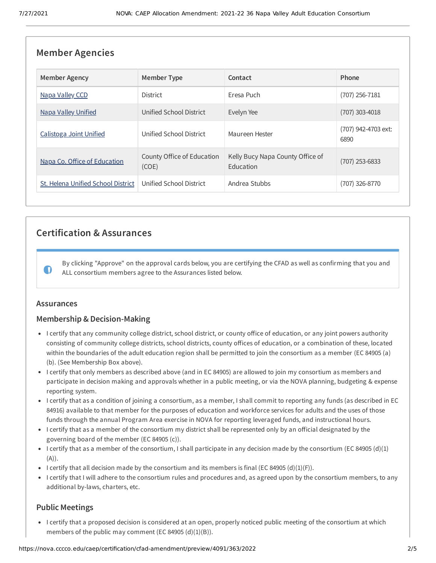| <b>Member Agencies</b>             |                                     |                                               |                             |  |
|------------------------------------|-------------------------------------|-----------------------------------------------|-----------------------------|--|
| <b>Member Agency</b>               | <b>Member Type</b>                  | Contact                                       | Phone                       |  |
| Napa Valley CCD                    | <b>District</b>                     | Eresa Puch                                    | (707) 256-7181              |  |
| <b>Napa Valley Unified</b>         | Unified School District             | Evelyn Yee                                    | (707) 303-4018              |  |
| Calistoga Joint Unified            | Unified School District             | Maureen Hester                                | (707) 942-4703 ext:<br>6890 |  |
| Napa Co. Office of Education       | County Office of Education<br>(COE) | Kelly Bucy Napa County Office of<br>Education | (707) 253-6833              |  |
| St. Helena Unified School District | Unified School District             | Andrea Stubbs                                 | (707) 326-8770              |  |

## **Certification & Assurances**

By clicking "Approve" on the approval cards below, you are certifying the CFAD as well as confirming that you and ALL consortium members agree to the Assurances listed below.

## **Assurances**

 $\bullet$ 

## **Membership & Decision-Making**

- I certify that any community college district, school district, or county office of education, or any joint powers authority consisting of community college districts, school districts, county offices of education, or a combination of these, located within the boundaries of the adult education region shall be permitted to join the consortium as a member (EC 84905 (a) (b). (See Membership Box above).
- I certify that only members as described above (and in EC 84905) are allowed to join my consortium as members and participate in decision making and approvals whether in a public meeting, or via the NOVA planning, budgeting & expense reporting system.
- I certify that as a condition of joining a consortium, as a member, I shall commit to reporting any funds (as described in EC 84916) available to that member for the purposes of education and workforce services for adults and the uses of those funds through the annual Program Area exercise in NOVA for reporting leveraged funds, and instructional hours.
- I certify that as a member of the consortium my district shall be represented only by an official designated by the governing board of the member (EC 84905 (c)).
- I certify that as a member of the consortium, I shall participate in any decision made by the consortium (EC 84905 (d)(1) (A)).
- I certify that all decision made by the consortium and its members is final (EC 84905 (d)(1)(F)).
- I certify that I will adhere to the consortium rules and procedures and, as agreed upon by the consortium members, to any additional by-laws, charters, etc.

## **Public Meetings**

I certify that a proposed decision is considered at an open, properly noticed public meeting of the consortium at which members of the public may comment (EC 84905  $(d)(1)(B)$ ).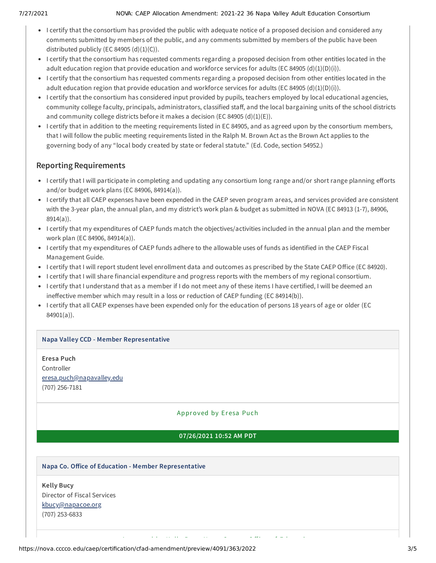- I certify that the consortium has provided the public with adequate notice of a proposed decision and considered any comments submitted by members of the public, and any comments submitted by members of the public have been distributed publicly (EC 84905  $(d)(1)(C)$ ).
- I certify that the consortium has requested comments regarding a proposed decision from other entities located in the adult education region that provide education and workforce services for adults (EC 84905 (d)(1)(D)(i)).
- I certify that the consortium has requested comments regarding a proposed decision from other entities located in the adult education region that provide education and workforce services for adults (EC 84905 (d)(1)(D)(i)).
- I certify that the consortium has considered input provided by pupils, teachers employed by local educational agencies, community college faculty, principals, administrators, classified staff, and the local bargaining units of the school districts and community college districts before it makes a decision (EC 84905 (d)(1)(E)).
- I certify that in addition to the meeting requirements listed in EC 84905, and as agreed upon by the consortium members, that I will follow the public meeting requirements listed in the Ralph M. Brown Act as the Brown Act applies to the governing body of any "local body created by state or federal statute." (Ed. Code, section 54952.)

## **Reporting Requirements**

- I certify that I will participate in completing and updating any consortium long range and/or short range planning efforts and/or budget work plans (EC 84906, 84914(a)).
- I certify that all CAEP expenses have been expended in the CAEP seven program areas, and services provided are consistent with the 3-year plan, the annual plan, and my district's work plan & budget as submitted in NOVA (EC 84913 (1-7), 84906, 8914(a)).
- I certify that my expenditures of CAEP funds match the objectives/activities included in the annual plan and the member work plan (EC 84906, 84914(a)).
- I certify that my expenditures of CAEP funds adhere to the allowable uses of funds as identified in the CAEP Fiscal Management Guide.
- I certify that I will report student level enrollment data and outcomes as prescribed by the State CAEP Office (EC 84920).
- I certify that I will share financial expenditure and progress reports with the members of my regional consortium.
- I certify that I understand that as a member if I do not meet any of these items I have certified, I will be deemed an ineffective member which may result in a loss or reduction of CAEP funding (EC 84914(b)).
- I certify that all CAEP expenses have been expended only for the education of persons 18 years of age or older (EC 84901(a)).

## **Napa Valley CCD - Member Representative**

**Eresa Puch** Controller [eresa.puch@napavalley.edu](mailto:eresa.puch@napavalley.edu) (707) 256-7181

## Approved by Er esa Puch

## **07/26/2021 10:52 AM PDT**

A d'an d'an de bhaile an t-aiste an dùthchan an dùthchan an dùthchan an dùthchan an dùthchan an dùthchan an dù<br>An dùthchan

## **Napa Co. Office of Education - Member Representative**

**Kelly Bucy** Director of Fiscal Services [kbucy@napacoe.org](mailto:kbucy@napacoe.org) (707) 253-6833